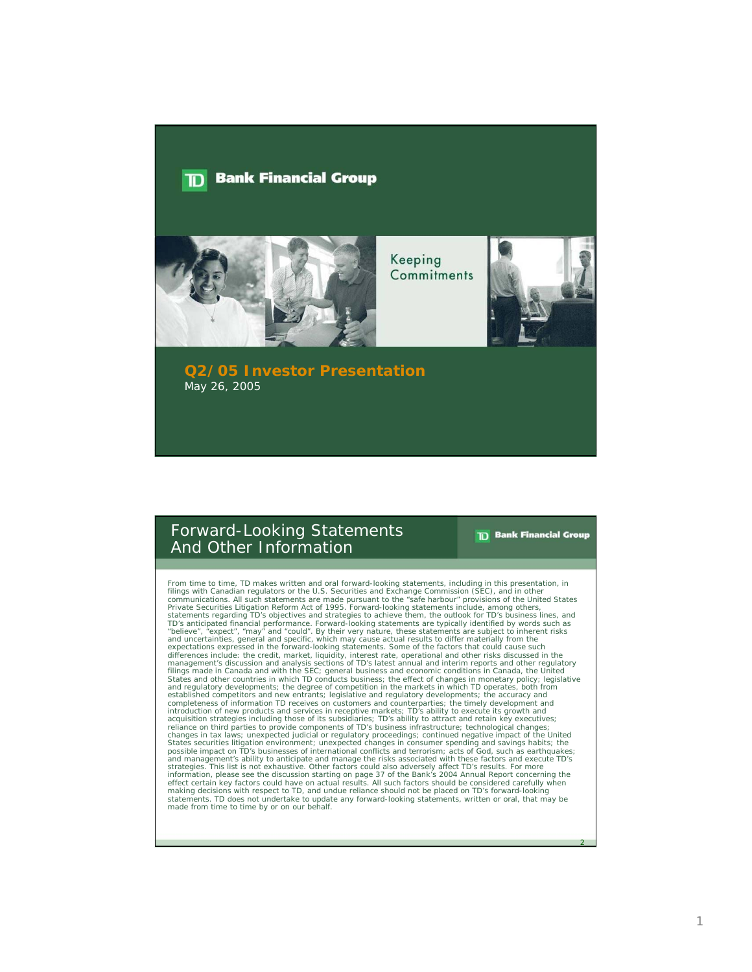#### **Bank Financial Group** חד



Keeping Commitments



#### **Q2/05 Investor Presentation** May 26, 2005

### Forward-Looking Statements And Other Information

**TD** Bank Financial Group

2

From time to time, TD makes written and oral forward-looking statements, including in this presentation, in filings with Canadian regulators or the U.S. Securities and Exchange Communications. All such statements are made expectations expressed in the forward-looking statements. Some of the factors that could cause such differences include: the credit, market, liquidity, interest rate, operational and other risks discussed in the<br>management's discussion and analysis sections of TD's latest annual and interim reports and other regulatory<br>f States and other countries in which TD conducts business; the effect of changes in monetary policy; legislative and regulatory developments; the degree of competition in the markets in which TD operates, both from established competitors and new entrants; legislative and regulatory developments; the accuracy and completeness of information TD receives on customers and counterparties; the timely development and introduction of new products and services in receptive markets; TD's ability to execute its growth and<br>acquisition strategies including those of its subsidaries; TD's ability to attract and retain key executives;<br>reliance and management's ability to anticipate and manage the risks associated with these factors and execute TD's<br>strategies. This list is not exhaustive. Other factors could also adversely affect TD's results. For more<br>informati statements. TD does not undertake to update any forward-looking statements, written or oral, that may be made from time to time by or on our behalf.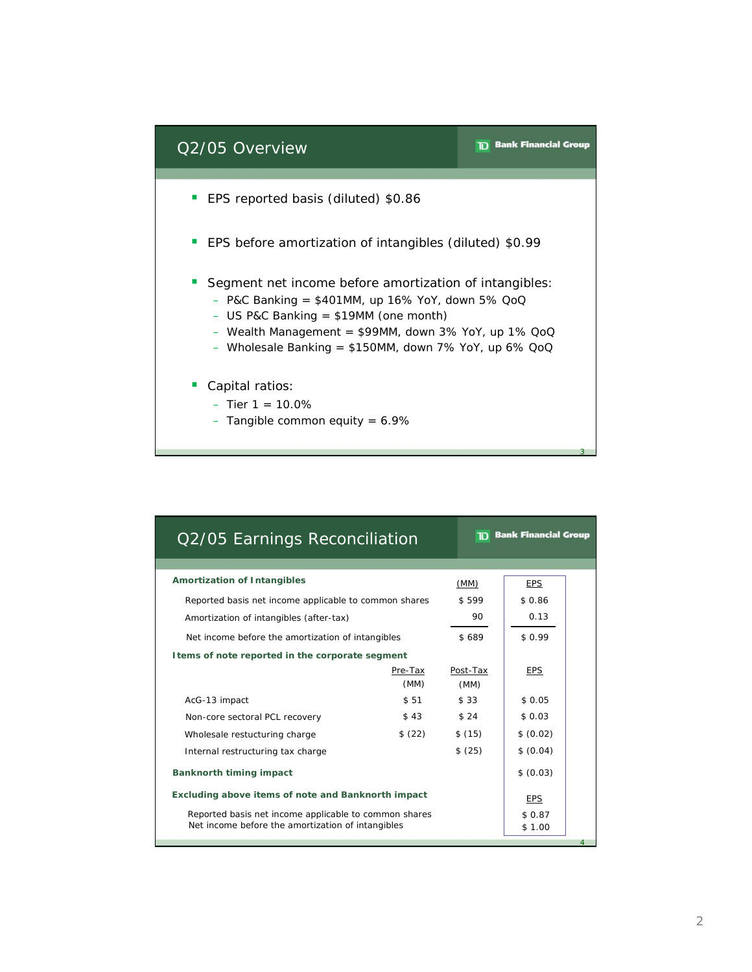

| Q2/05 Earnings Reconciliation                         |                 | <b>The Bank Financial Group</b> |             |  |
|-------------------------------------------------------|-----------------|---------------------------------|-------------|--|
|                                                       |                 |                                 |             |  |
| <b>Amortization of Intangibles</b>                    |                 | (MM)                            | <b>EPS</b>  |  |
| Reported basis net income applicable to common shares | \$599           | \$0.86                          |             |  |
| Amortization of intangibles (after-tax)               | 90              | 0.13                            |             |  |
| Net income before the amortization of intangibles     |                 | \$689                           | \$0.99      |  |
| I tems of note reported in the corporate segment      |                 |                                 |             |  |
|                                                       | Pre-Tax<br>(MM) | Post-Tax<br>(MM)                | <b>EPS</b>  |  |
| AcG-13 impact                                         | \$51            | \$33                            | \$0.05      |  |
| Non-core sectoral PCL recovery                        | \$43            | \$24                            | \$0.03      |  |
| Wholesale restucturing charge                         | \$(22)          | \$(15)                          | \$ (0.02)   |  |
| Internal restructuring tax charge                     |                 |                                 | \$ (0.04)   |  |
| <b>Banknorth timing impact</b>                        | \$ (0.03)       |                                 |             |  |
| Excluding above items of note and Banknorth impact    | <b>EPS</b>      |                                 |             |  |
| Reported basis net income applicable to common shares |                 |                                 | \$0.87      |  |
| Net income before the amortization of intangibles     |                 |                                 | \$1.00<br>4 |  |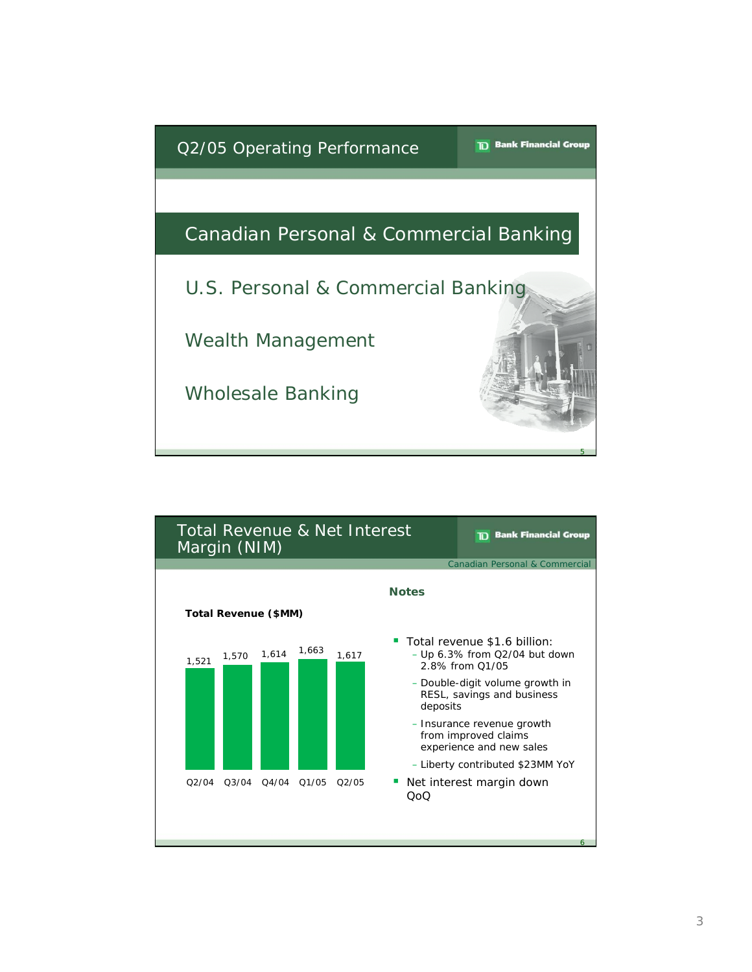

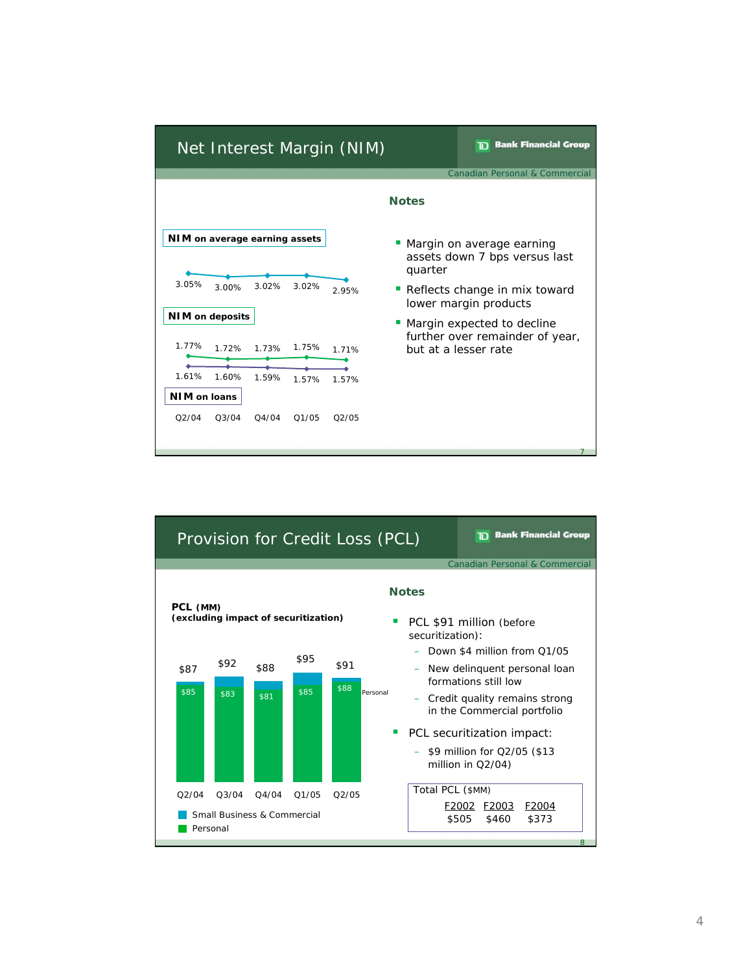

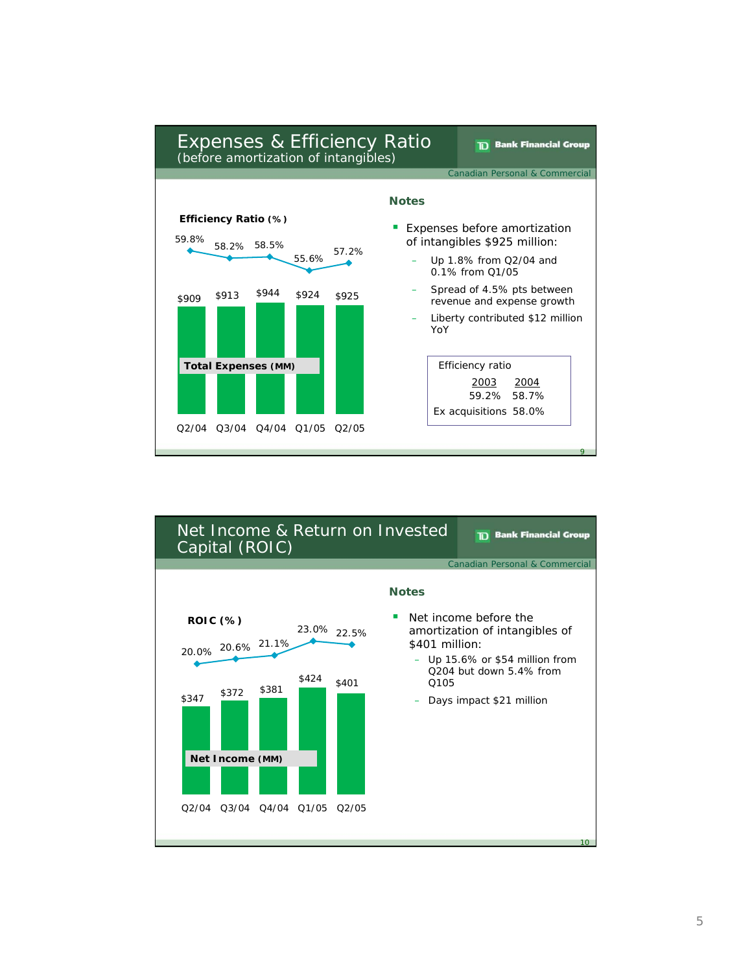

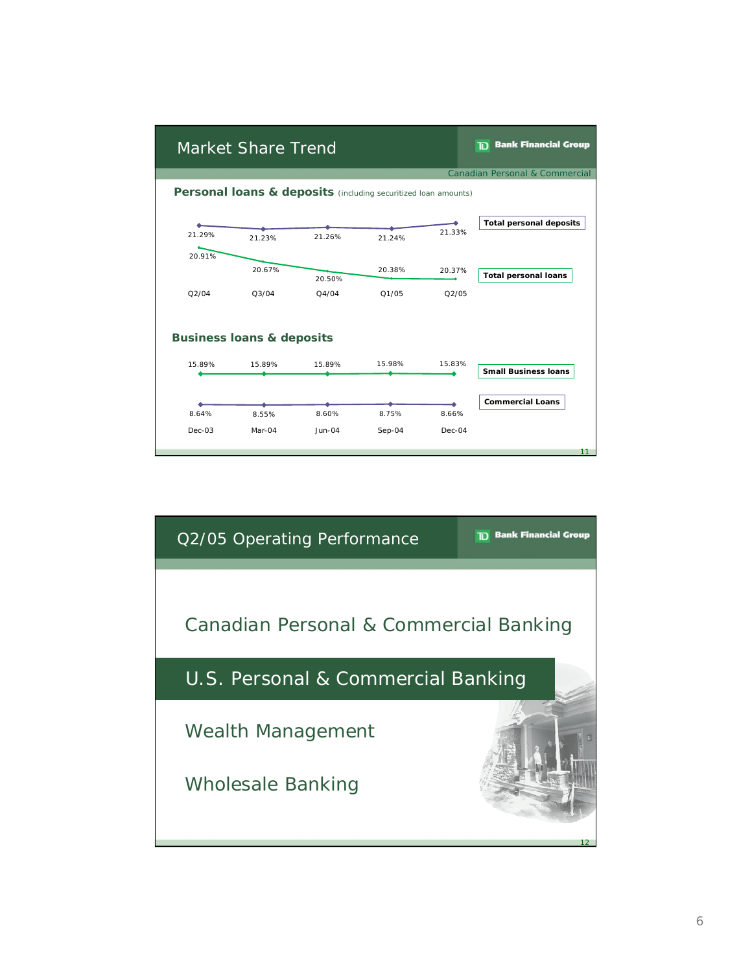|          | Market Share Trend                   |                                                                |          |        | <b>TD</b> Bank Financial Group |
|----------|--------------------------------------|----------------------------------------------------------------|----------|--------|--------------------------------|
|          |                                      |                                                                |          |        | Canadian Personal & Commercial |
|          |                                      | Personal loans & deposits (including securitized loan amounts) |          |        |                                |
|          |                                      |                                                                |          | 21.33% | <b>Total personal deposits</b> |
| 21.29%   | 21.23%                               | 21.26%                                                         | 21.24%   |        |                                |
| 20.91%   | 20.67%                               |                                                                | 20.38%   | 20.37% | <b>Total personal loans</b>    |
| Q2/04    | Q3/04                                | 20.50%<br>Q4/04                                                | Q1/05    | Q2/05  |                                |
|          | <b>Business loans &amp; deposits</b> |                                                                |          |        |                                |
| 15.89%   | 15.89%                               | 15.89%                                                         | 15.98%   | 15.83% | <b>Small Business loans</b>    |
| 8.64%    | 8.55%                                | 8.60%                                                          | 8.75%    | 8.66%  | <b>Commercial Loans</b>        |
| $Dec-03$ | Mar-04                               | $Jun-04$                                                       | $Sep-04$ | Dec-04 |                                |
|          |                                      |                                                                |          |        | 11                             |

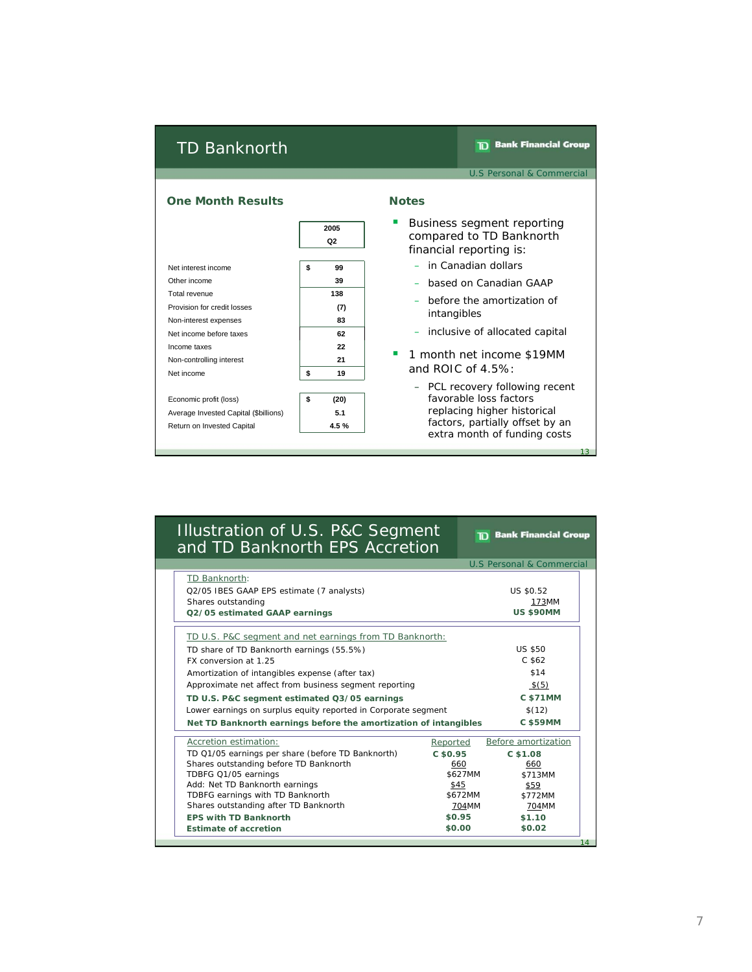### TD Banknorth

**TD** Bank Financial Group

U.S Personal & Commercial

**TD** Bank Financial Group



## Illustration of U.S. P&C Segment and TD Banknorth EPS Accretion

|                                                                  |                 | U.S Personal & Commercial |
|------------------------------------------------------------------|-----------------|---------------------------|
| TD Banknorth:                                                    |                 |                           |
| Q2/05 IBES GAAP EPS estimate (7 analysts)                        |                 | US \$0.52                 |
| Shares outstanding                                               |                 | 173MM                     |
| Q2/05 estimated GAAP earnings                                    |                 | <b>US \$90MM</b>          |
| TD U.S. P&C segment and net earnings from TD Banknorth:          |                 |                           |
| TD share of TD Banknorth earnings (55.5%)                        |                 | US \$50                   |
| FX conversion at 1.25                                            |                 | $C$ \$62                  |
| Amortization of intangibles expense (after tax)                  |                 | \$14                      |
| Approximate net affect from business segment reporting           |                 | \$(5)                     |
| TD U.S. P&C segment estimated Q3/05 earnings                     | <b>C \$71MM</b> |                           |
| Lower earnings on surplus equity reported in Corporate segment   | \$(12)          |                           |
| Net TD Banknorth earnings before the amortization of intangibles |                 | <b>C \$59MM</b>           |
| Accretion estimation:                                            | Reported        | Before amortization       |
| TD Q1/05 earnings per share (before TD Banknorth)                | C\$50.95        | C\$1.08                   |
| Shares outstanding before TD Banknorth                           | 660             | 660                       |
| TDBFG Q1/05 earnings                                             | \$627MM         | \$713MM                   |
| Add: Net TD Banknorth earnings                                   | \$45            | \$59                      |
| TDBFG earnings with TD Banknorth                                 | \$672MM         | \$772MM                   |
| Shares outstanding after TD Banknorth                            | 704MM           | 704MM                     |
| <b>EPS with TD Banknorth</b>                                     | \$0.95          | \$1.10                    |
| <b>Estimate of accretion</b>                                     | \$0.00          | \$0.02                    |
|                                                                  |                 | 14                        |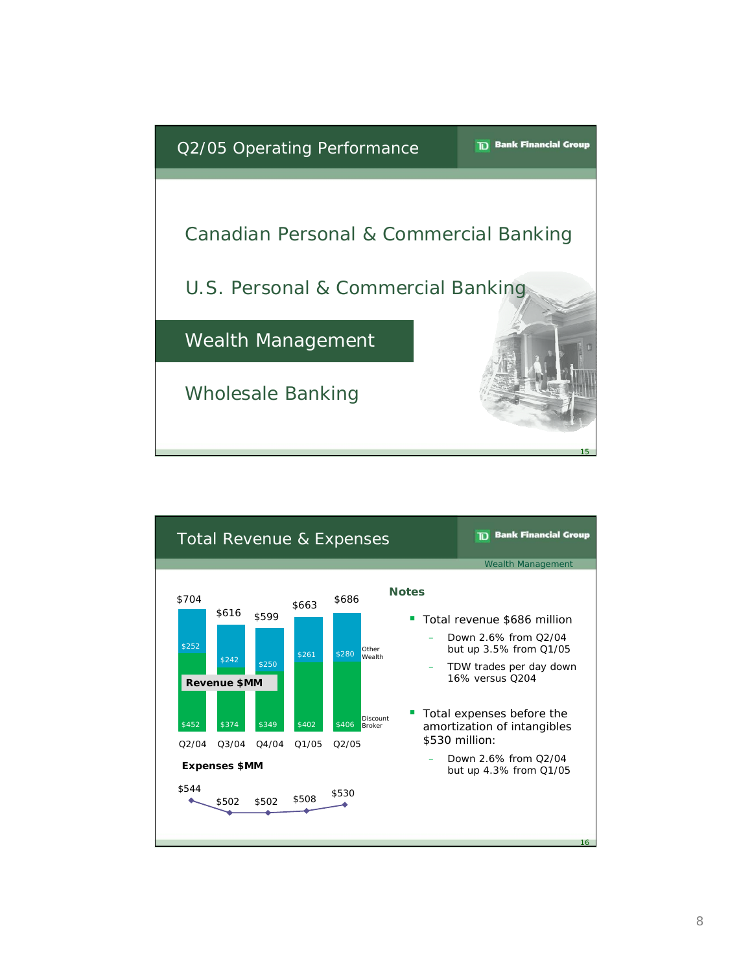

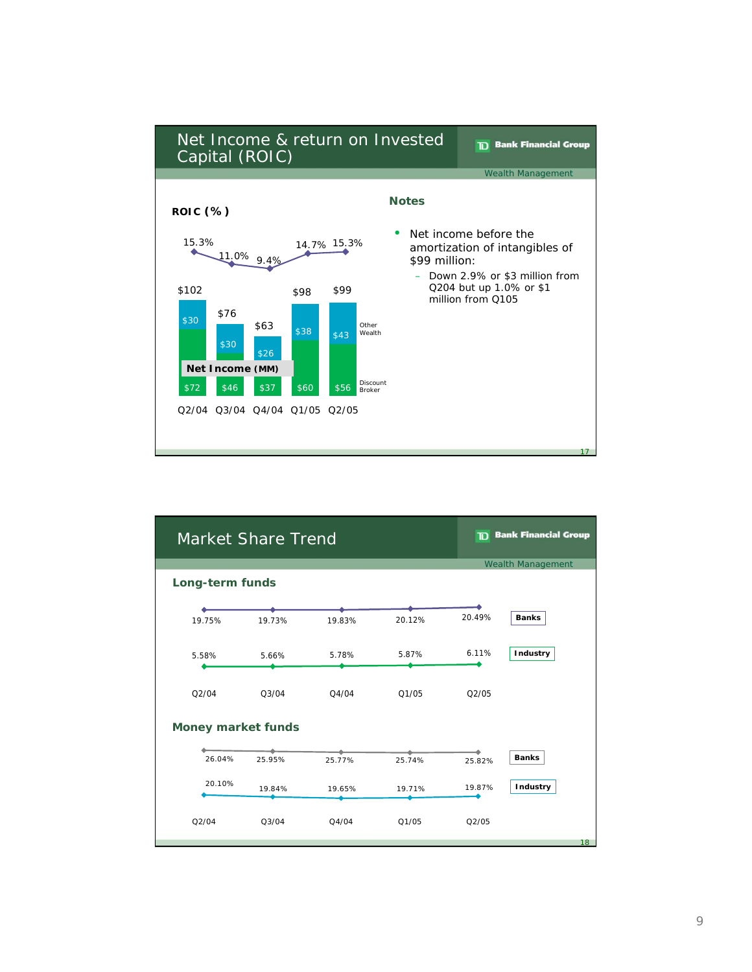

| <b>Market Share Trend</b> |        |        |        |        | <b>TD</b> Bank Financial Group |
|---------------------------|--------|--------|--------|--------|--------------------------------|
|                           |        |        |        |        | <b>Wealth Management</b>       |
| Long-term funds           |        |        |        |        |                                |
|                           |        |        |        |        |                                |
| 19.75%                    | 19.73% | 19.83% | 20.12% | 20.49% | <b>Banks</b>                   |
| 5.58%                     | 5.66%  | 5.78%  | 5.87%  | 6.11%  | Industry                       |
| Q2/04                     | Q3/04  | Q4/04  | Q1/05  | Q2/05  |                                |
| <b>Money market funds</b> |        |        |        |        |                                |
|                           |        |        |        |        |                                |
| 26.04%                    | 25.95% | 25.77% | 25.74% | 25.82% | <b>Banks</b>                   |
| 20.10%                    | 19.84% | 19.65% | 19.71% | 19.87% | Industry                       |
| Q2/04                     | Q3/04  | Q4/04  | Q1/05  | Q2/05  |                                |
|                           |        |        |        |        | 18                             |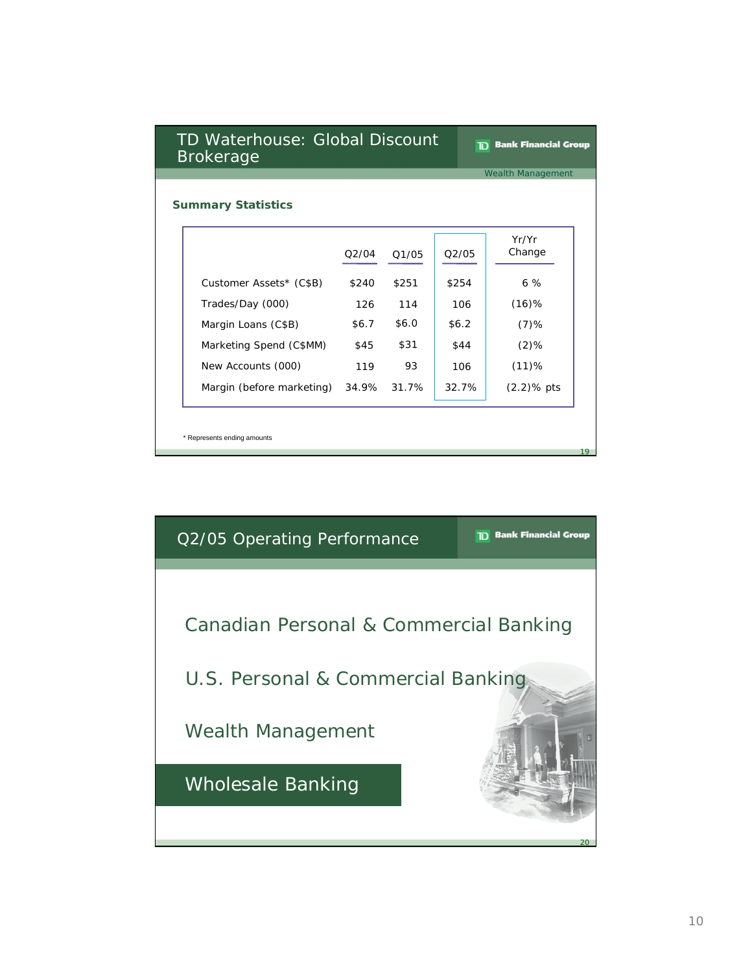| TD Waterhouse: Global Discount<br><b>Brokerage</b> |                             |       |       |         | <b>Bank Financial Group</b> |  |
|----------------------------------------------------|-----------------------------|-------|-------|---------|-----------------------------|--|
|                                                    |                             |       |       |         | <b>Wealth Management</b>    |  |
|                                                    | <b>Summary Statistics</b>   |       |       |         |                             |  |
|                                                    |                             | Q2/04 | Q1/05 | 02/05   | Yr/Yr<br>Change             |  |
|                                                    | Customer Assets* (C\$B)     | \$240 | \$251 | \$254   | 6%                          |  |
|                                                    | Trades/Day (000)            | 126   | 114   | 106     | $(16)$ %                    |  |
|                                                    | Margin Loans (C\$B)         | \$6.7 | \$6.0 | \$6.2\$ | $(7)$ %                     |  |
|                                                    | Marketing Spend (C\$MM)     | \$45  | \$31  | \$44    | $(2)$ %                     |  |
|                                                    | New Accounts (000)          | 119   | 93    | 106     | (11)%                       |  |
|                                                    | Margin (before marketing)   | 34.9% | 31.7% | 32.7%   | $(2.2)$ % pts               |  |
|                                                    | * Represents ending amounts |       |       |         | 19                          |  |

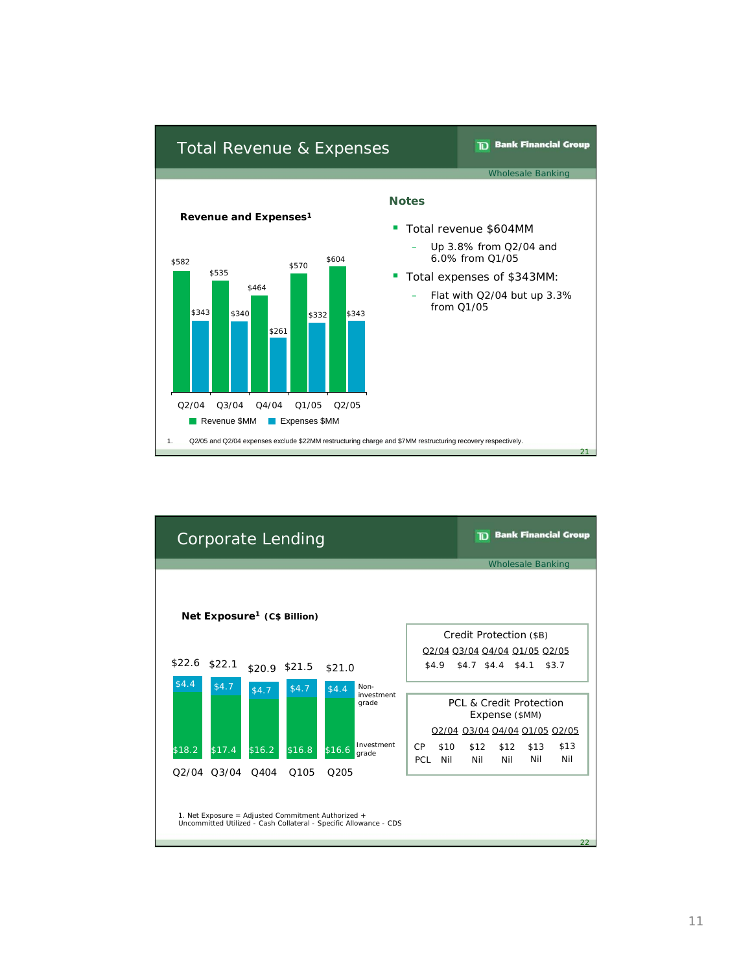

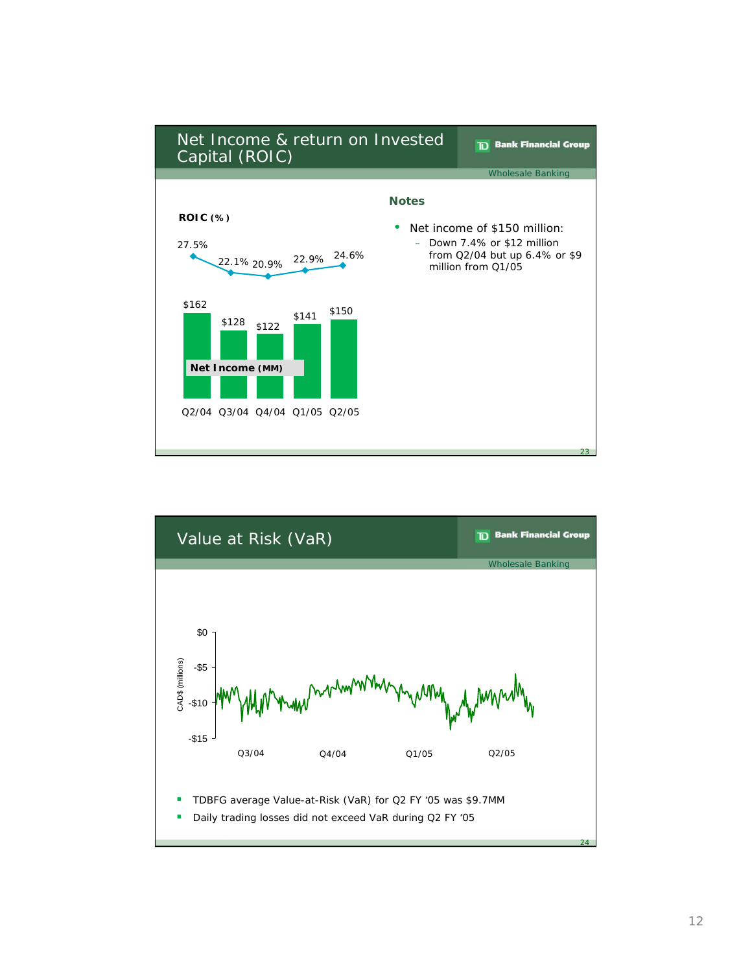